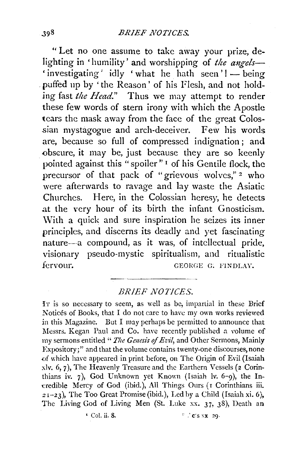"Let no one assume to take away your prize, delighting in 'humility' and worshipping of *the angels*-'investigating' idly 'what he hath seen'! - being . puffed up by 'the Reason' of his Flesh, and not holding fast *the Head.*" Thus we may attempt to render these few words of stern irony with which the Apostle tears the mask away from the face of the great Colossian mystagogue and arch-deceiver. Few his words are, because so full of compressed indignation ; and obscure, it may be, just because they are so keenly pointed against this "spoiler" 1 of his Gentile flock, the precursor of that pack of "grievous wolves,"<sup>2</sup> who were afterwards to ravage and lay waste the Asiatic Churches. Here, in the Colossian heresy, he detects .at the very hour of its birth the infant Gnosticism. With a quick and sure inspiration he seizes its inner principles, and discerns its deadly and yet fascinating nature-a compound, as it was, of intellectual pride, visionary pseudo-mystic spiritualism, and ritualistic fervour. GEORGE G. FINDLAY.

## *BRIEF NOTICES.*

IT is so necessary to seem, as well as be, impartial in these Brief Notices of Books, that I do not care to have my own works reviewed in this Magazine. But I may perhaps be permitted to announce that Messrs. Kegan Paul and Co. have recently published a volume of my sermons entitled " *T!te Genesis of Ez·il,* and Other Sermons, Mainly Expository;" and that the volume contains twenty-one discourses, none of which have appeared in print before, on The Origin of Evil (Isaiah xlv. 6, 7), The Heavenly Treasure and the Earthern Vessels (2 Corinthians iv. 7), God Unknown yet Known (Isaiah lv. 6-9), the Incredible Mercy of God (ibid.), All Things Ours (I Corinthians iii. *<sup>2</sup>*r-23), The Too Great Promise (ibid.), Led by a Child (Isaiah xi. 6), The Living God of Living Men (St. Luke xx. 37, 38), Death an

 $\cdot$  Col. ii. 8. c  $\cdot$  c  $\cdot$  c  $\cdot$  x 29.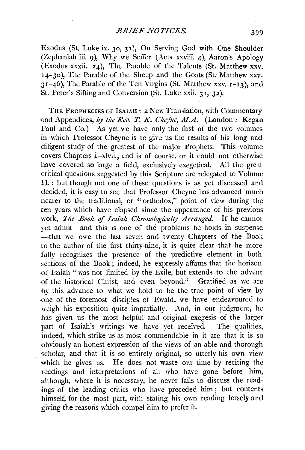Exodus (St. Luke ix. 30, 31 ), On Serving God with One Shoulder {Zephaniah iii. 9), Why we Suffer (Acts xxviii. 4), Aaron's Apology (Exodus xxxii. 24), The Parable of the Talents (St. Matthew xxv.  $14-30$ ), The Parable of the Sheep and the Goats (St. Matthew xxv. 31-46), The Parable of the Ten Virgins (St. Matthew xxv. 1-13), and St. Peter's Sifting and Conversion (St. Luke xxii. 31, 32).

THE PROPHECIES OF ISAIAH: a New Translation, with Commentary and Appendices, by the Rev. T. K. Cheyne, M.A. (London: Kegan Paul and Co.) As yet we have only the first of the two volumes in which Professor Cheyne is to give us the results of his long and diligent study of the greatest of the major Prophets. This volume covers Chapters i.-xlvii., and is of course, or it could not otherwise have covered so large a field, exclusively exegetical. All the great critical questions suggested by this Scripture are relegated to Volume II. : but though not one of these questions is as yet discussed and decided, it is easy to see that Professor Cheyne has advanced much nearer to the traditional, or " orthodox," point of view during the ten years which have elapsed since the appearance of his previous work, *The Book of Isaiah Chronologically Arranged*. If he cannot yet admit-and this is one of the problems he holds in suspense -that we owe the last seven and twenty Chapters of the Book to the author of the first thirty-nine, it is quite clear that he more fully recognizes the presence of the predictive element in both sections of the Book; indeed, he expressly affirms that the horizon -of Isaiah "was not limited by the Exile, but extends to the advent of the historical Christ, and even beyond." Gratified as we are by this advance to what we hold to be the true point of view Ly one of the foremost disciples of Ewald, we have endeavoured to weigh his exposition quite impartially. And, in our judgment, he has given us the most helpful and original exegesis of the larger part of Isaiah's writings we have yet received. The qualities, indeed, which strike us as most commendable in it are that it is so obviously an honest expression of the views of an able and thorough scholar, and that it is so entirely original, so utterly his own view which he gives us. He does not waste our time by reciting the readings and interpretations of all who have gone before him, although, where it is necessary, he never fails to discuss the readings of the leading critics who have preceded him; but contents himself, for the most part, with stating his own reading tersely and giving the reasons which compel him to prefer it.